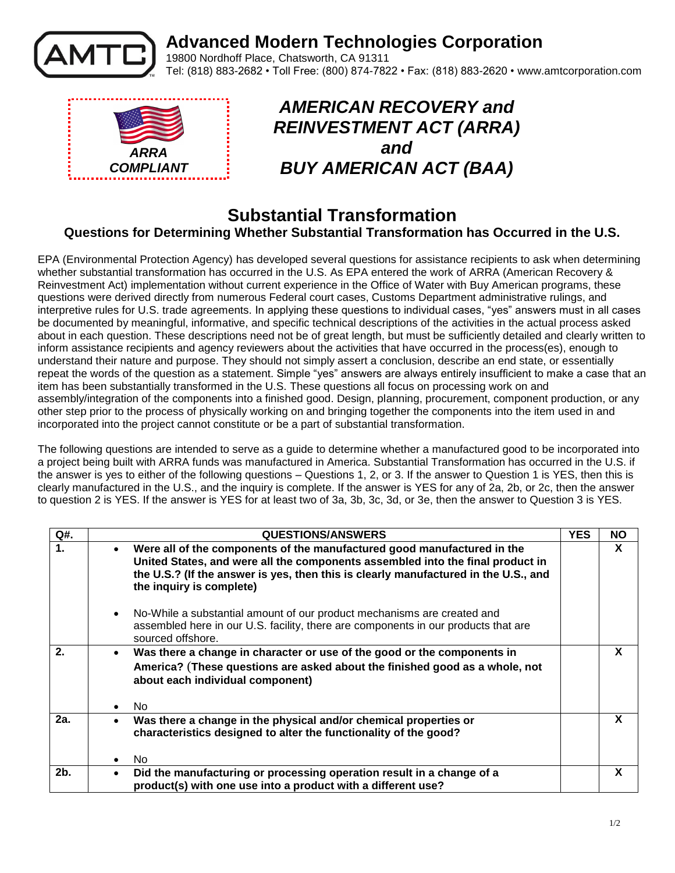

## **Advanced Modern Technologies Corporation**

19800 Nordhoff Place, Chatsworth, CA 91311 Tel: (818) 883-2682 • Toll Free: (800) 874-7822 • Fax: (818) 883-2620 • www.amtcorporation.com



## *AMERICAN RECOVERY and REINVESTMENT ACT (ARRA) and BUY AMERICAN ACT (BAA)*

## **Substantial Transformation Questions for Determining Whether Substantial Transformation has Occurred in the U.S.**

EPA (Environmental Protection Agency) has developed several questions for assistance recipients to ask when determining whether substantial transformation has occurred in the U.S. As EPA entered the work of ARRA (American Recovery & Reinvestment Act) implementation without current experience in the Office of Water with Buy American programs, these questions were derived directly from numerous Federal court cases, Customs Department administrative rulings, and interpretive rules for U.S. trade agreements. In applying these questions to individual cases, "yes" answers must in all cases be documented by meaningful, informative, and specific technical descriptions of the activities in the actual process asked about in each question. These descriptions need not be of great length, but must be sufficiently detailed and clearly written to inform assistance recipients and agency reviewers about the activities that have occurred in the process(es), enough to understand their nature and purpose. They should not simply assert a conclusion, describe an end state, or essentially repeat the words of the question as a statement. Simple "yes" answers are always entirely insufficient to make a case that an item has been substantially transformed in the U.S. These questions all focus on processing work on and assembly/integration of the components into a finished good. Design, planning, procurement, component production, or any other step prior to the process of physically working on and bringing together the components into the item used in and incorporated into the project cannot constitute or be a part of substantial transformation.

The following questions are intended to serve as a guide to determine whether a manufactured good to be incorporated into a project being built with ARRA funds was manufactured in America. Substantial Transformation has occurred in the U.S. if the answer is yes to either of the following questions – Questions 1, 2, or 3. If the answer to Question 1 is YES, then this is clearly manufactured in the U.S., and the inquiry is complete. If the answer is YES for any of 2a, 2b, or 2c, then the answer to question 2 is YES. If the answer is YES for at least two of 3a, 3b, 3c, 3d, or 3e, then the answer to Question 3 is YES.

| Q#.            |           | <b>QUESTIONS/ANSWERS</b>                                                                                                                                                                                                                                                     | <b>YES</b> | <b>NO</b> |
|----------------|-----------|------------------------------------------------------------------------------------------------------------------------------------------------------------------------------------------------------------------------------------------------------------------------------|------------|-----------|
| $\mathbf 1$ .  | $\bullet$ | Were all of the components of the manufactured good manufactured in the<br>United States, and were all the components assembled into the final product in<br>the U.S.? (If the answer is yes, then this is clearly manufactured in the U.S., and<br>the inquiry is complete) |            | X         |
|                | $\bullet$ | No-While a substantial amount of our product mechanisms are created and<br>assembled here in our U.S. facility, there are components in our products that are<br>sourced offshore.                                                                                           |            |           |
| 2.             | $\bullet$ | Was there a change in character or use of the good or the components in<br>America? (These questions are asked about the finished good as a whole, not<br>about each individual component)                                                                                   |            | X         |
|                | $\bullet$ | No.                                                                                                                                                                                                                                                                          |            |           |
| 2a.            | $\bullet$ | Was there a change in the physical and/or chemical properties or<br>characteristics designed to alter the functionality of the good?                                                                                                                                         |            | X         |
|                |           | No.                                                                                                                                                                                                                                                                          |            |           |
| 2 <sub>b</sub> | $\bullet$ | Did the manufacturing or processing operation result in a change of a<br>product(s) with one use into a product with a different use?                                                                                                                                        |            | X         |